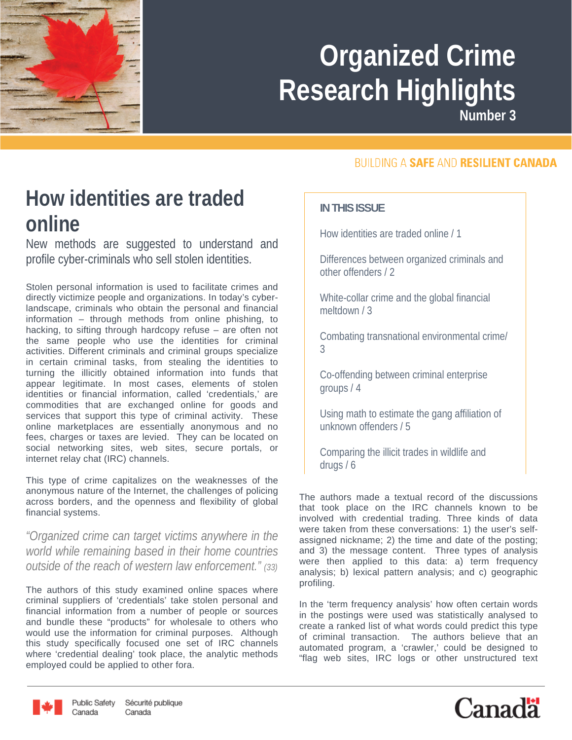

**Number 3**

#### **How identities are traded online**

New methods are suggested to understand and profile cyber-criminals who sell stolen identities.

Stolen personal information is used to facilitate crimes and directly victimize people and organizations. In today's cyberlandscape, criminals who obtain the personal and financial information – through methods from online phishing, to hacking, to sifting through hardcopy refuse – are often not the same people who use the identities for criminal activities. Different criminals and criminal groups specialize in certain criminal tasks, from stealing the identities to turning the illicitly obtained information into funds that appear legitimate. In most cases, elements of stolen identities or financial information, called 'credentials,' are commodities that are exchanged online for goods and services that support this type of criminal activity. These online marketplaces are essentially anonymous and no fees, charges or taxes are levied. They can be located on social networking sites, web sites, secure portals, or internet relay chat (IRC) channels.

This type of crime capitalizes on the weaknesses of the anonymous nature of the Internet, the challenges of policing across borders, and the openness and flexibility of global financial systems.

*"Organized crime can target victims anywhere in the world while remaining based in their home countries outside of the reach of western law enforcement." (33)*

The authors of this study examined online spaces where criminal suppliers of 'credentials' take stolen personal and financial information from a number of people or sources and bundle these "products" for wholesale to others who would use the information for criminal purposes. Although this study specifically focused one set of IRC channels where 'credential dealing' took place, the analytic methods employed could be applied to other fora.

#### **BUILDING A SAFE AND RESILIENT CANADA**

#### **IN THIS ISSUE**

How identities are traded online / 1

Differences between organized criminals and other offenders / 2

White-collar crime and the global financial meltdown / 3

Combating transnational environmental crime/ 3

Co-offending between criminal enterprise groups / 4

Using math to estimate the gang affiliation of unknown offenders / 5

Comparing the illicit trades in wildlife and drugs / 6

The authors made a textual record of the discussions that took place on the IRC channels known to be involved with credential trading. Three kinds of data were taken from these conversations: 1) the user's selfassigned nickname; 2) the time and date of the posting; and 3) the message content. Three types of analysis were then applied to this data: a) term frequency analysis; b) lexical pattern analysis; and c) geographic profiling.

In the 'term frequency analysis' how often certain words in the postings were used was statistically analysed to create a ranked list of what words could predict this type of criminal transaction. The authors believe that an automated program, a 'crawler,' could be designed to "flag web sites, IRC logs or other unstructured text



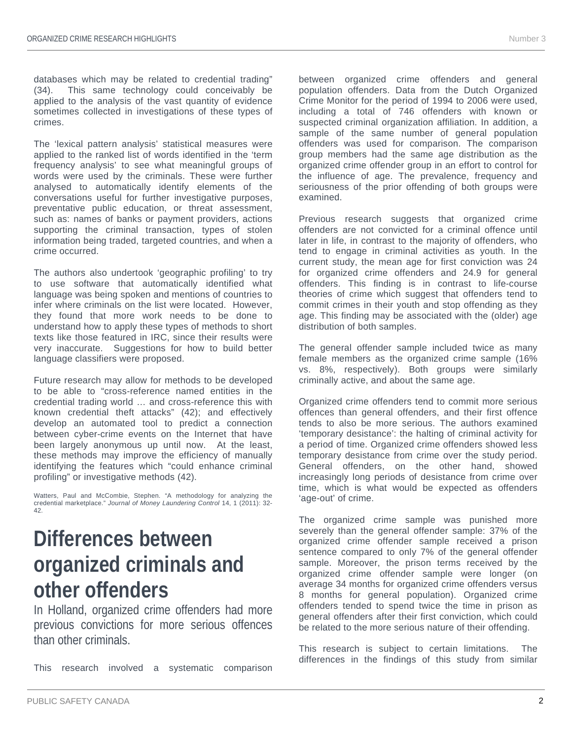databases which may be related to credential trading" (34). This same technology could conceivably be applied to the analysis of the vast quantity of evidence sometimes collected in investigations of these types of crimes.

The 'lexical pattern analysis' statistical measures were applied to the ranked list of words identified in the 'term frequency analysis' to see what meaningful groups of words were used by the criminals. These were further analysed to automatically identify elements of the conversations useful for further investigative purposes, preventative public education, or threat assessment, such as: names of banks or payment providers, actions supporting the criminal transaction, types of stolen information being traded, targeted countries, and when a crime occurred.

The authors also undertook 'geographic profiling' to try to use software that automatically identified what language was being spoken and mentions of countries to infer where criminals on the list were located. However, they found that more work needs to be done to understand how to apply these types of methods to short texts like those featured in IRC, since their results were very inaccurate. Suggestions for how to build better language classifiers were proposed.

Future research may allow for methods to be developed to be able to "cross-reference named entities in the credential trading world … and cross-reference this with known credential theft attacks" (42); and effectively develop an automated tool to predict a connection between cyber-crime events on the Internet that have been largely anonymous up until now. At the least, these methods may improve the efficiency of manually identifying the features which "could enhance criminal profiling" or investigative methods (42).

Watters, Paul and McCombie, Stephen. "A methodology for analyzing the credential marketplace." *Journal of Money Laundering Control* 14, 1 (2011): 32- 42.

#### **Differences between organized criminals and other offenders**

In Holland, organized crime offenders had more previous convictions for more serious offences than other criminals.

This research involved a systematic comparison

between organized crime offenders and general population offenders. Data from the Dutch Organized Crime Monitor for the period of 1994 to 2006 were used, including a total of 746 offenders with known or suspected criminal organization affiliation. In addition, a sample of the same number of general population offenders was used for comparison. The comparison group members had the same age distribution as the organized crime offender group in an effort to control for the influence of age. The prevalence, frequency and seriousness of the prior offending of both groups were examined.

Previous research suggests that organized crime offenders are not convicted for a criminal offence until later in life, in contrast to the majority of offenders, who tend to engage in criminal activities as youth. In the current study, the mean age for first conviction was 24 for organized crime offenders and 24.9 for general offenders. This finding is in contrast to life-course theories of crime which suggest that offenders tend to commit crimes in their youth and stop offending as they age. This finding may be associated with the (older) age distribution of both samples.

The general offender sample included twice as many female members as the organized crime sample (16% vs. 8%, respectively). Both groups were similarly criminally active, and about the same age.

Organized crime offenders tend to commit more serious offences than general offenders, and their first offence tends to also be more serious. The authors examined 'temporary desistance': the halting of criminal activity for a period of time. Organized crime offenders showed less temporary desistance from crime over the study period. General offenders, on the other hand, showed increasingly long periods of desistance from crime over time, which is what would be expected as offenders 'age-out' of crime.

The organized crime sample was punished more severely than the general offender sample: 37% of the organized crime offender sample received a prison sentence compared to only 7% of the general offender sample. Moreover, the prison terms received by the organized crime offender sample were longer (on average 34 months for organized crime offenders versus 8 months for general population). Organized crime offenders tended to spend twice the time in prison as general offenders after their first conviction, which could be related to the more serious nature of their offending.

This research is subject to certain limitations. The differences in the findings of this study from similar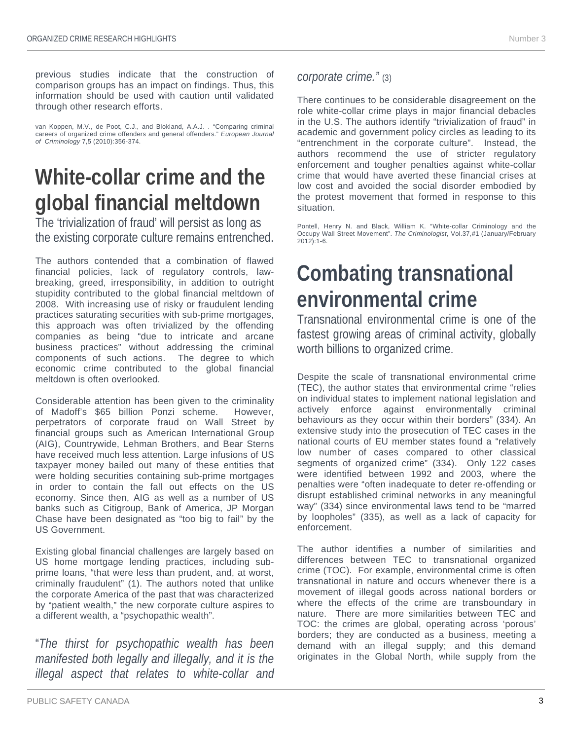previous studies indicate that the construction of comparison groups has an impact on findings. Thus, this information should be used with caution until validated through other research efforts.

van Koppen, M.V., de Poot, C.J., and Blokland, A.A.J. . "Comparing criminal careers of organized crime offenders and general offenders." *European Journal of Criminology* 7,5 (2010):356-374.

# **White-collar crime and the global financial meltdown**

The 'trivialization of fraud' will persist as long as the existing corporate culture remains entrenched.

The authors contended that a combination of flawed financial policies, lack of regulatory controls, lawbreaking, greed, irresponsibility, in addition to outright stupidity contributed to the global financial meltdown of 2008. With increasing use of risky or fraudulent lending practices saturating securities with sub-prime mortgages, this approach was often trivialized by the offending companies as being "due to intricate and arcane business practices" without addressing the criminal components of such actions. The degree to which economic crime contributed to the global financial meltdown is often overlooked.

Considerable attention has been given to the criminality of Madoff's \$65 billion Ponzi scheme. However, perpetrators of corporate fraud on Wall Street by financial groups such as American International Group (AIG), Countrywide, Lehman Brothers, and Bear Sterns have received much less attention. Large infusions of US taxpayer money bailed out many of these entities that were holding securities containing sub-prime mortgages in order to contain the fall out effects on the US economy. Since then, AIG as well as a number of US banks such as Citigroup, Bank of America, JP Morgan Chase have been designated as "too big to fail" by the US Government.

Existing global financial challenges are largely based on US home mortgage lending practices, including subprime loans, "that were less than prudent, and, at worst, criminally fraudulent" (1). The authors noted that unlike the corporate America of the past that was characterized by "patient wealth," the new corporate culture aspires to a different wealth, a "psychopathic wealth".

"*The thirst for psychopathic wealth has been manifested both legally and illegally, and it is the illegal aspect that relates to white-collar and*  *corporate crime."* (3)

There continues to be considerable disagreement on the role white-collar crime plays in major financial debacles in the U.S. The authors identify "trivialization of fraud" in academic and government policy circles as leading to its "entrenchment in the corporate culture". Instead, the authors recommend the use of stricter regulatory enforcement and tougher penalties against white-collar crime that would have averted these financial crises at low cost and avoided the social disorder embodied by the protest movement that formed in response to this situation.

Pontell, Henry N. and Black, William K. "White-collar Criminology and the Occupy Wall Street Movement". *The Criminologist*, Vol.37,#1 (January/February 2012):1-6.

## **Combating transnational environmental crime**

Transnational environmental crime is one of the fastest growing areas of criminal activity, globally worth billions to organized crime.

Despite the scale of transnational environmental crime (TEC), the author states that environmental crime "relies on individual states to implement national legislation and actively enforce against environmentally criminal behaviours as they occur within their borders" (334). An extensive study into the prosecution of TEC cases in the national courts of EU member states found a "relatively low number of cases compared to other classical segments of organized crime" (334). Only 122 cases were identified between 1992 and 2003, where the penalties were "often inadequate to deter re-offending or disrupt established criminal networks in any meaningful way" (334) since environmental laws tend to be "marred by loopholes" (335), as well as a lack of capacity for enforcement.

The author identifies a number of similarities and differences between TEC to transnational organized crime (TOC). For example, environmental crime is often transnational in nature and occurs whenever there is a movement of illegal goods across national borders or where the effects of the crime are transboundary in nature. There are more similarities between TEC and TOC: the crimes are global, operating across 'porous' borders; they are conducted as a business, meeting a demand with an illegal supply; and this demand originates in the Global North, while supply from the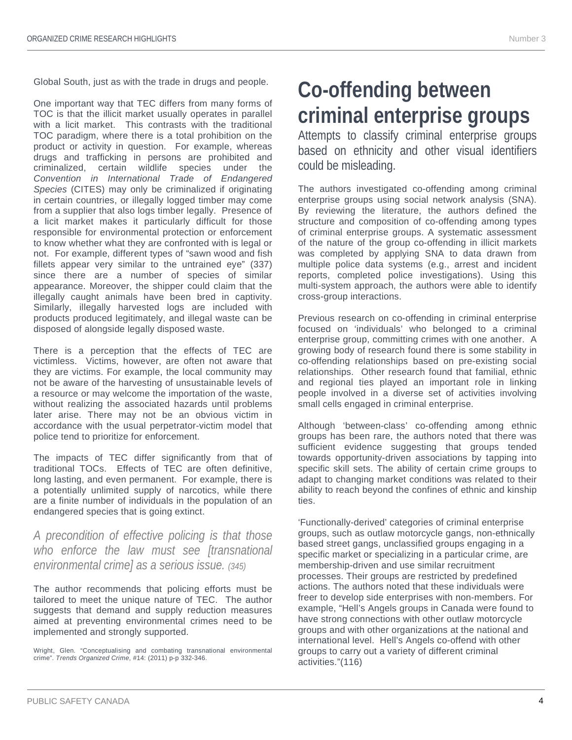Global South, just as with the trade in drugs and people.

One important way that TEC differs from many forms of TOC is that the illicit market usually operates in parallel with a licit market. This contrasts with the traditional TOC paradigm, where there is a total prohibition on the product or activity in question. For example, whereas drugs and trafficking in persons are prohibited and criminalized, certain wildlife species under the *Convention in International Trade of Endangered Species* (CITES) may only be criminalized if originating in certain countries, or illegally logged timber may come from a supplier that also logs timber legally. Presence of a licit market makes it particularly difficult for those responsible for environmental protection or enforcement to know whether what they are confronted with is legal or not. For example, different types of "sawn wood and fish fillets appear very similar to the untrained eye" (337) since there are a number of species of similar appearance. Moreover, the shipper could claim that the illegally caught animals have been bred in captivity. Similarly, illegally harvested logs are included with products produced legitimately, and illegal waste can be disposed of alongside legally disposed waste.

There is a perception that the effects of TEC are victimless. Victims, however, are often not aware that they are victims. For example, the local community may not be aware of the harvesting of unsustainable levels of a resource or may welcome the importation of the waste, without realizing the associated hazards until problems later arise. There may not be an obvious victim in accordance with the usual perpetrator-victim model that police tend to prioritize for enforcement.

The impacts of TEC differ significantly from that of traditional TOCs. Effects of TEC are often definitive, long lasting, and even permanent. For example, there is a potentially unlimited supply of narcotics, while there are a finite number of individuals in the population of an endangered species that is going extinct.

#### *A precondition of effective policing is that those who enforce the law must see [transnational environmental crime] as a serious issue. (345)*

The author recommends that policing efforts must be tailored to meet the unique nature of TEC. The author suggests that demand and supply reduction measures aimed at preventing environmental crimes need to be implemented and strongly supported.

Wright, Glen. "Conceptualising and combating transnational environmental crime". *Trends Organized Crime*, #14: (2011) p-p 332-346.

## **Co-offending between criminal enterprise groups**

Attempts to classify criminal enterprise groups based on ethnicity and other visual identifiers could be misleading.

The authors investigated co-offending among criminal enterprise groups using social network analysis (SNA). By reviewing the literature, the authors defined the structure and composition of co-offending among types of criminal enterprise groups. A systematic assessment of the nature of the group co-offending in illicit markets was completed by applying SNA to data drawn from multiple police data systems (e.g., arrest and incident reports, completed police investigations). Using this multi-system approach, the authors were able to identify cross-group interactions.

Previous research on co-offending in criminal enterprise focused on 'individuals' who belonged to a criminal enterprise group, committing crimes with one another. A growing body of research found there is some stability in co-offending relationships based on pre-existing social relationships. Other research found that familial, ethnic and regional ties played an important role in linking people involved in a diverse set of activities involving small cells engaged in criminal enterprise.

Although 'between-class' co-offending among ethnic groups has been rare, the authors noted that there was sufficient evidence suggesting that groups tended towards opportunity-driven associations by tapping into specific skill sets. The ability of certain crime groups to adapt to changing market conditions was related to their ability to reach beyond the confines of ethnic and kinship ties.

'Functionally-derived' categories of criminal enterprise groups, such as outlaw motorcycle gangs, non-ethnically based street gangs, unclassified groups engaging in a specific market or specializing in a particular crime, are membership-driven and use similar recruitment processes. Their groups are restricted by predefined actions. The authors noted that these individuals were freer to develop side enterprises with non-members. For example, "Hell's Angels groups in Canada were found to have strong connections with other outlaw motorcycle groups and with other organizations at the national and international level. Hell's Angels co-offend with other groups to carry out a variety of different criminal activities."(116)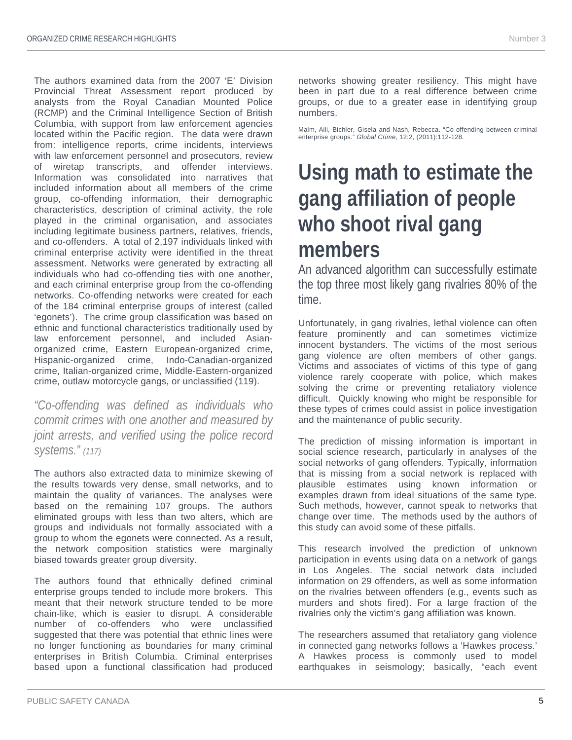The authors examined data from the 2007 'E' Division Provincial Threat Assessment report produced by analysts from the Royal Canadian Mounted Police (RCMP) and the Criminal Intelligence Section of British Columbia, with support from law enforcement agencies located within the Pacific region. The data were drawn from: intelligence reports, crime incidents, interviews with law enforcement personnel and prosecutors, review of wiretap transcripts, and offender interviews. Information was consolidated into narratives that included information about all members of the crime group, co-offending information, their demographic characteristics, description of criminal activity, the role played in the criminal organisation, and associates including legitimate business partners, relatives, friends, and co-offenders. A total of 2,197 individuals linked with criminal enterprise activity were identified in the threat assessment. Networks were generated by extracting all individuals who had co-offending ties with one another, and each criminal enterprise group from the co-offending networks. Co-offending networks were created for each of the 184 criminal enterprise groups of interest (called 'egonets'). The crime group classification was based on ethnic and functional characteristics traditionally used by law enforcement personnel, and included Asianorganized crime, Eastern European-organized crime, Hispanic-organized crime, Indo-Canadian-organized crime, Italian-organized crime, Middle-Eastern-organized crime, outlaw motorcycle gangs, or unclassified (119).

*"Co-offending was defined as individuals who commit crimes with one another and measured by joint arrests, and verified using the police record systems." (117)*

The authors also extracted data to minimize skewing of the results towards very dense, small networks, and to maintain the quality of variances. The analyses were based on the remaining 107 groups. The authors eliminated groups with less than two alters, which are groups and individuals not formally associated with a group to whom the egonets were connected. As a result, the network composition statistics were marginally biased towards greater group diversity.

The authors found that ethnically defined criminal enterprise groups tended to include more brokers. This meant that their network structure tended to be more chain-like, which is easier to disrupt. A considerable number of co-offenders who were unclassified suggested that there was potential that ethnic lines were no longer functioning as boundaries for many criminal enterprises in British Columbia. Criminal enterprises based upon a functional classification had produced

networks showing greater resiliency. This might have been in part due to a real difference between crime groups, or due to a greater ease in identifying group numbers.

Malm, Aili, Bichler, Gisela and Nash, Rebecca. "Co-offending between criminal enterprise groups." *Global Crime*, 12:2, (2011):112-128.

## **Using math to estimate the gang affiliation of people who shoot rival gang members**

An advanced algorithm can successfully estimate the top three most likely gang rivalries 80% of the time.

Unfortunately, in gang rivalries, lethal violence can often feature prominently and can sometimes victimize innocent bystanders. The victims of the most serious gang violence are often members of other gangs. Victims and associates of victims of this type of gang violence rarely cooperate with police, which makes solving the crime or preventing retaliatory violence difficult. Quickly knowing who might be responsible for these types of crimes could assist in police investigation and the maintenance of public security.

The prediction of missing information is important in social science research, particularly in analyses of the social networks of gang offenders. Typically, information that is missing from a social network is replaced with plausible estimates using known information or examples drawn from ideal situations of the same type. Such methods, however, cannot speak to networks that change over time. The methods used by the authors of this study can avoid some of these pitfalls.

This research involved the prediction of unknown participation in events using data on a network of gangs in Los Angeles. The social network data included information on 29 offenders, as well as some information on the rivalries between offenders (e.g., events such as murders and shots fired). For a large fraction of the rivalries only the victim's gang affiliation was known.

The researchers assumed that retaliatory gang violence in connected gang networks follows a 'Hawkes process.' A Hawkes process is commonly used to model earthquakes in seismology; basically, "each event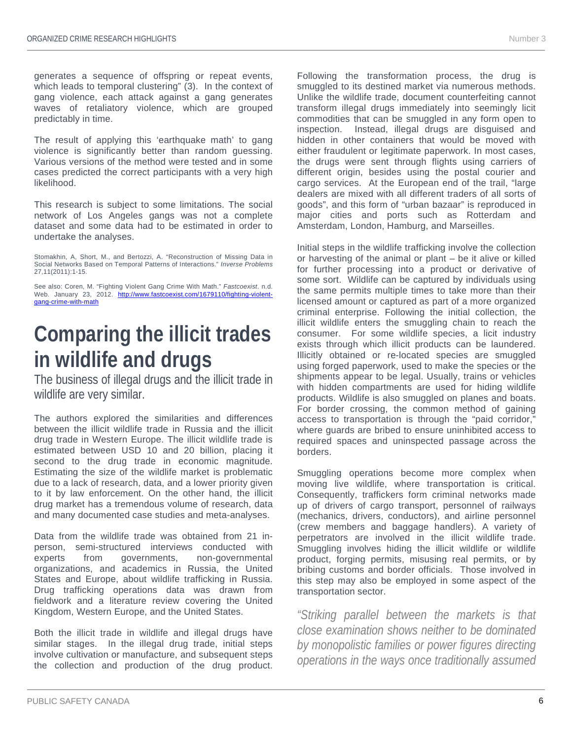generates a sequence of offspring or repeat events, which leads to temporal clustering" (3). In the context of gang violence, each attack against a gang generates waves of retaliatory violence, which are grouped predictably in time.

The result of applying this 'earthquake math' to gang violence is significantly better than random guessing. Various versions of the method were tested and in some cases predicted the correct participants with a very high likelihood.

This research is subject to some limitations. The social network of Los Angeles gangs was not a complete dataset and some data had to be estimated in order to undertake the analyses.

Stomakhin, A, Short, M., and Bertozzi, A. "Reconstruction of Missing Data in Social Networks Based on Temporal Patterns of Interactions." *Inverse Problems* 27,11(2011):1-15.

See also: Coren, M. "Fighting Violent Gang Crime With Math." *Fastcoexist*. n.d. Web. January 23, 2012. [http://www.fastcoexist.com/1679110/fighting-violent](http://www.fastcoexist.com/1679110/fighting-violent-gang-crime-with-math)[gang-crime-with-math](http://www.fastcoexist.com/1679110/fighting-violent-gang-crime-with-math)

## **Comparing the illicit trades in wildlife and drugs**

The business of illegal drugs and the illicit trade in wildlife are very similar.

The authors explored the similarities and differences between the illicit wildlife trade in Russia and the illicit drug trade in Western Europe. The illicit wildlife trade is estimated between USD 10 and 20 billion, placing it second to the drug trade in economic magnitude. Estimating the size of the wildlife market is problematic due to a lack of research, data, and a lower priority given to it by law enforcement. On the other hand, the illicit drug market has a tremendous volume of research, data and many documented case studies and meta-analyses.

Data from the wildlife trade was obtained from 21 inperson, semi-structured interviews conducted with experts from governments, non-governmental organizations, and academics in Russia, the United States and Europe, about wildlife trafficking in Russia. Drug trafficking operations data was drawn from fieldwork and a literature review covering the United Kingdom, Western Europe, and the United States.

Both the illicit trade in wildlife and illegal drugs have similar stages. In the illegal drug trade, initial steps involve cultivation or manufacture, and subsequent steps the collection and production of the drug product. Following the transformation process, the drug is smuggled to its destined market via numerous methods. Unlike the wildlife trade, document counterfeiting cannot transform illegal drugs immediately into seemingly licit commodities that can be smuggled in any form open to inspection. Instead, illegal drugs are disguised and hidden in other containers that would be moved with either fraudulent or legitimate paperwork. In most cases, the drugs were sent through flights using carriers of different origin, besides using the postal courier and cargo services. At the European end of the trail, "large dealers are mixed with all different traders of all sorts of goods", and this form of "urban bazaar" is reproduced in major cities and ports such as Rotterdam and Amsterdam, London, Hamburg, and Marseilles.

Initial steps in the wildlife trafficking involve the collection or harvesting of the animal or plant – be it alive or killed for further processing into a product or derivative of some sort. Wildlife can be captured by individuals using the same permits multiple times to take more than their licensed amount or captured as part of a more organized criminal enterprise. Following the initial collection, the illicit wildlife enters the smuggling chain to reach the consumer. For some wildlife species, a licit industry exists through which illicit products can be laundered. Illicitly obtained or re-located species are smuggled using forged paperwork, used to make the species or the shipments appear to be legal. Usually, trains or vehicles with hidden compartments are used for hiding wildlife products. Wildlife is also smuggled on planes and boats. For border crossing, the common method of gaining access to transportation is through the "paid corridor," where guards are bribed to ensure uninhibited access to required spaces and uninspected passage across the borders.

Smuggling operations become more complex when moving live wildlife, where transportation is critical. Consequently, traffickers form criminal networks made up of drivers of cargo transport, personnel of railways (mechanics, drivers, conductors), and airline personnel (crew members and baggage handlers). A variety of perpetrators are involved in the illicit wildlife trade. Smuggling involves hiding the illicit wildlife or wildlife product, forging permits, misusing real permits, or by bribing customs and border officials. Those involved in this step may also be employed in some aspect of the transportation sector.

*"Striking parallel between the markets is that close examination shows neither to be dominated by monopolistic families or power figures directing operations in the ways once traditionally assumed*